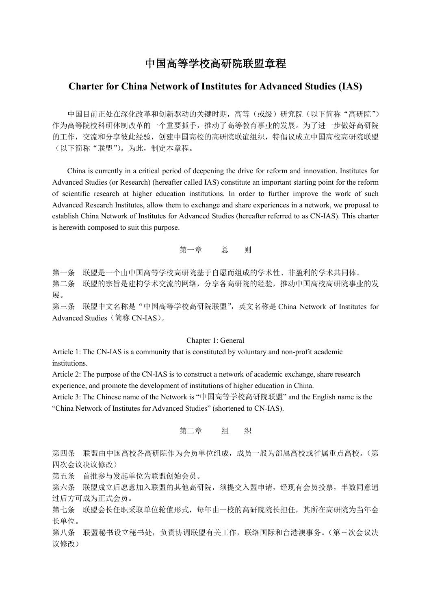# 中国高等学校高研院联盟章程

## **Charter for China Network of Institutes for Advanced Studies (IAS)**

中国目前正处在深化改革和创新驱动的关键时期,高等(或级)研究院(以下简称"高研院") 作为高等院校科研体制改革的一个重要抓手,推动了高等教育事业的发展。为了进一步做好高研院 的工作,交流和分享彼此经验,创建中国高校的高研院联谊组织,特倡议成立中国高校高研院联盟 (以下简称"联盟")。为此,制定本章程。

China is currently in a critical period of deepening the drive for reform and innovation. Institutes for Advanced Studies (or Research) (hereafter called IAS) constitute an important starting point for the reform of scientific research at higher education institutions. In order to further improve the work of such Advanced Research Institutes, allow them to exchange and share experiences in a network, we proposal to establish China Network of Institutes for Advanced Studies (hereafter referred to as CN-IAS). This charter is herewith composed to suit this purpose.

## 第一章 总 则

第一条 联盟是一个由中国高等学校高研院基于自愿而组成的学术性、非盈利的学术共同体。

第二条 联盟的宗旨是建构学术交流的网络,分享各高研院的经验,推动中国高校高研院事业的发 展。

第三条 联盟中文名称是"中国高等学校高研院联盟",英文名称是 China Network of Institutes for Advanced Studies (简称 CN-IAS)。

#### Chapter 1: General

Article 1: The CN-IAS is a community that is constituted by voluntary and non-profit academic institutions.

Article 2: The purpose of the CN-IAS is to construct a network of academic exchange, share research experience, and promote the development of institutions of higher education in China.

Article 3: The Chinese name of the Network is "中国高等学校高研院联盟" and the English name is the "China Network of Institutes for Advanced Studies" (shortened to CN-IAS).

第二章 组 织

第四条 联盟由中国高校各高研院作为会员单位组成,成员一般为部属高校或省属重点高校。(第 四次会议决议修改)

第五条 首批参与发起单位为联盟创始会员。

第六条 联盟成立后愿意加入联盟的其他高研院,须提交入盟申请,经现有会员投票,半数同意通 过后方可成为正式会员。

第七条 联盟会长任职采取单位轮值形式,每年由一校的高研院院长担任,其所在高研院为当年会 长单位。

第八条 联盟秘书设立秘书处,负责协调联盟有关工作,联络国际和台港澳事务。(第三次会议决 议修改)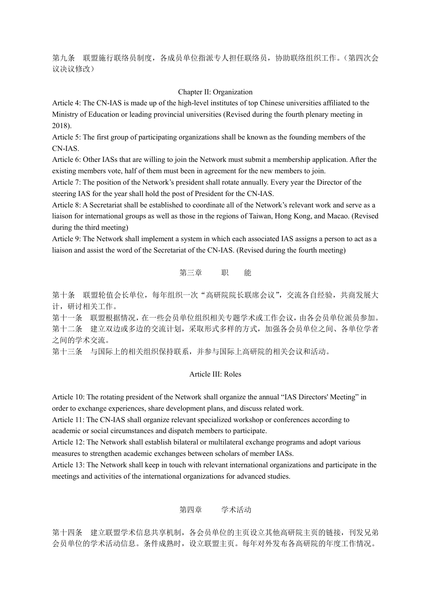第九条 联盟施行联络员制度,各成员单位指派专人担任联络员,协助联络组织工作。(第四次会 议决议修改)

## Chapter II: Organization

Article 4: The CN-IAS is made up of the high-level institutes of top Chinese universities affiliated to the Ministry of Education or leading provincial universities (Revised during the fourth plenary meeting in 2018).

Article 5: The first group of participating organizations shall be known as the founding members of the CN-IAS.

Article 6: Other IASs that are willing to join the Network must submit a membership application. After the existing members vote, half of them must been in agreement for the new members to join.

Article 7: The position of the Network's president shall rotate annually. Every year the Director of the steering IAS for the year shall hold the post of President for the CN-IAS.

Article 8: A Secretariat shall be established to coordinate all of the Network's relevant work and serve as a liaison for international groups as well as those in the regions of Taiwan, Hong Kong, and Macao. (Revised during the third meeting)

Article 9: The Network shall implement a system in which each associated IAS assigns a person to act as a liaison and assist the word of the Secretariat of the CN-IAS. (Revised during the fourth meeting)

## 第三章 职 能

第十条 联盟轮值会长单位,每年组织一次"高研院院长联席会议",交流各自经验,共商发展大 计,研讨相关工作。

第十一条 联盟根据情况,在一些会员单位组织相关专题学术或工作会议,由各会员单位派员参加。 第十二条 建立双边或多边的交流计划,采取形式多样的方式,加强各会员单位之间、各单位学者 之间的学术交流。

第十三条 与国际上的相关组织保持联系,并参与国际上高研院的相关会议和活动。

## Article III: Roles

Article 10: The rotating president of the Network shall organize the annual "IAS Directors' Meeting" in order to exchange experiences, share development plans, and discuss related work.

Article 11: The CN-IAS shall organize relevant specialized workshop or conferences according to academic or social circumstances and dispatch members to participate.

Article 12: The Network shall establish bilateral or multilateral exchange programs and adopt various measures to strengthen academic exchanges between scholars of member IASs.

Article 13: The Network shall keep in touch with relevant international organizations and participate in the meetings and activities of the international organizations for advanced studies.

## 第四章 学术活动

第十四条 建立联盟学术信息共享机制,各会员单位的主页设立其他高研院主页的链接,刊发兄弟 会员单位的学术活动信息。条件成熟时,设立联盟主页。每年对外发布各高研院的年度工作情况。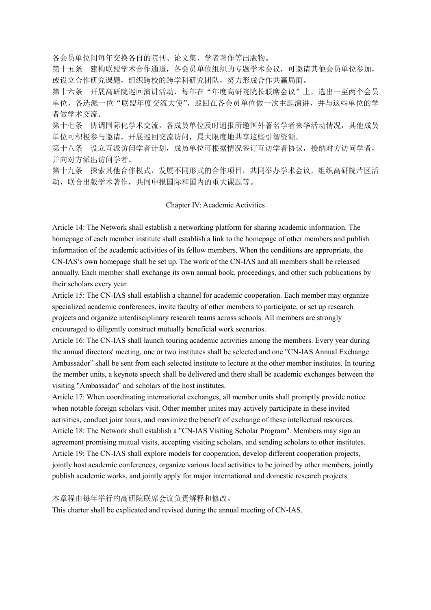各会员单位间每年交换各自的院刊、论文集、学者著作等出版物。

第十五条 建构联盟学术合作通道,各会员单位组织的专题学术会议,可邀请其他会员单位参加, 或设立合作研究课题,组织跨校的跨学科研究团队,努力形成合作共赢局面。

第十六条 开展高研院巡回演讲活动,每年在"年度高研院院长联席会议"上,选出一至两个会员 单位,各选派一位"联盟年度交流大使",巡回在各会员单位做一次主题演讲,并与这些单位的学 者做学术交流。

第十七条 协调国际化学术交流,各成员单位及时通报所邀国外著名学者来华活动情况,其他成员 单位可积极参与邀请,开展巡回交流访问,最大限度地共享这些引智资源。

第十八条 设立互派访问学者计划,成员单位可根据情况签订互访学者协议,接纳对方访问学者, 并向对方派出访问学者。

第十九条 探索其他合作模式,发展不同形式的合作项目,共同举办学术会议,组织高研院片区活 动,联合出版学术著作,共同申报国际和国内的重大课题等。

#### Chapter IV: Academic Activities

Article 14: The Network shall establish a networking platform for sharing academic information. The homepage of each member institute shall establish a link to the homepage of other members and publish information of the academic activities of its fellow members. When the conditions are appropriate, the CN-IAS's own homepage shall be set up. The work of the CN-IAS and all members shall be released annually. Each member shall exchange its own annual book, proceedings, and other such publications by their scholars every year.

Article 15: The CN-IAS shall establish a channel for academic cooperation. Each member may organize specialized academic conferences, invite faculty of other members to participate, or set up research projects and organize interdisciplinary research teams across schools. All members are strongly encouraged to diligently construct mutually beneficial work scenarios.

Article 16: The CN-IAS shall launch touring academic activities among the members. Every year during the annual directors' meeting, one or two institutes shall be selected and one "CN-IAS Annual Exchange Ambassador" shall be sent from each selected institute to lecture at the other member institutes. In touring the member units, a keynote speech shall be delivered and there shall be academic exchanges between the visiting "Ambassador" and scholars of the host institutes.

Article 17: When coordinating international exchanges, all member units shall promptly provide notice when notable foreign scholars visit. Other member unites may actively participate in these invited activities, conduct joint tours, and maximize the benefit of exchange of these intellectual resources. Article 18: The Network shall establish a "CN-IAS Visiting Scholar Program". Members may sign an agreement promising mutual visits, accepting visiting scholars, and sending scholars to other institutes. Article 19: The CN-IAS shall explore models for cooperation, develop different cooperation projects, jointly host academic conferences, organize various local activities to be joined by other members, jointly publish academic works, and jointly apply for major international and domestic research projects.

## 本章程由每年举行的高研院联席会议负责解释和修改。

This charter shall be explicated and revised during the annual meeting of CN-IAS.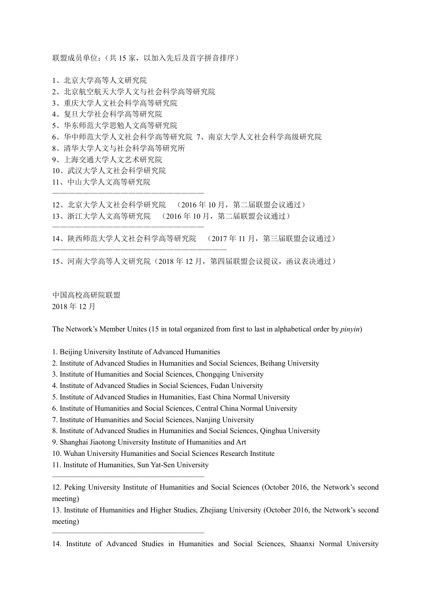联盟成员单位:(共15家,以加入先后及首字拼音排序)

- 1、北京大学高等人文研究院
- 2、北京航空航天大学人文与社会科学高等研究院
- 3、重庆大学人文社会科学高等研究院
- 4、复旦大学社会科学高等研究院
- 5、华东师范大学思勉人文高等研究院
- 6、华中师范大学人文社会科学高等研究院 7、南京大学人文社会科学高级研究院
- 8、清华大学人文与社会科学高等研究所

————————————————————

————————————————————

—————————————————————————

- 9、上海交通大学人文艺术研究院
- 10、武汉大学人文社会科学研究院
- 11、中山大学人文高等研究院

12、北京大学人文社会科学研究院 (2016 年 10 月,第二届联盟会议通过)

13、浙江大学人文高等研究院 (2016 年 10 月,第二届联盟会议通过)

14、陕西师范大学人文社会科学高等研究院 (2017 年 11 月,第三届联盟会议通过)

15、河南大学高等人文研究院(2018 年 12 月,第四届联盟会议提议,函议表决通过)

中国高校高研院联盟 2018 年 12 月

The Network's Member Unites (15 in total organized from first to last in alphabetical order by *pinyin*)

1. Beijing University Institute of Advanced Humanities

- 2. Institute of Advanced Studies in Humanities and Social Sciences, Beihang University
- 3. Institute of Humanities and Social Sciences, Chongqing University
- 4. Institute of Advanced Studies in Social Sciences, Fudan University
- 5. Institute of Advanced Studies in Humanities, East China Normal University
- 6. Institute of Humanities and Social Sciences, Central China Normal University
- 7. Institute of Humanities and Social Sciences, Nanjing University
- 8. Institute of Advanced Studies in Humanities and Social Sciences, Qinghua University
- 9. Shanghai Jiaotong University Institute of Humanities and Art
- 10. Wuhan University Humanities and Social Sciences Research Institute
- 11. Institute of Humanities, Sun Yat-Sen University ————————————————————

————————————————————

12. Peking University Institute of Humanities and Social Sciences (October 2016, the Network's second meeting)

13. Institute of Humanities and Higher Studies, Zhejiang University (October 2016, the Network's second meeting)

14. Institute of Advanced Studies in Humanities and Social Sciences, Shaanxi Normal University